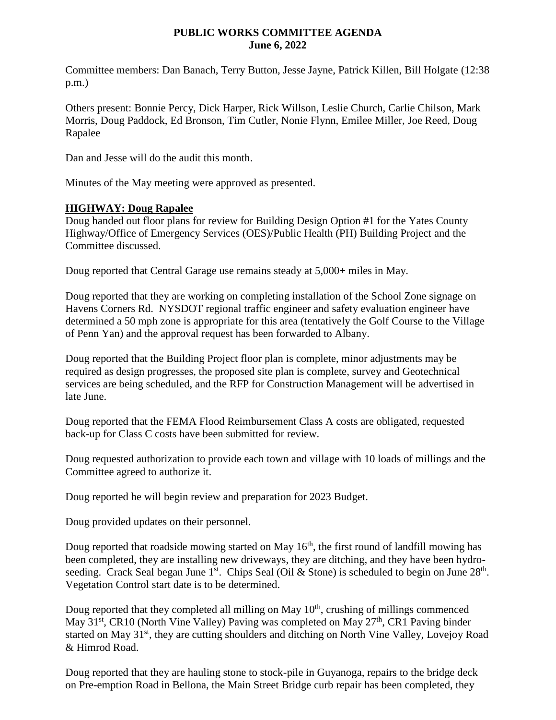## **PUBLIC WORKS COMMITTEE AGENDA June 6, 2022**

Committee members: Dan Banach, Terry Button, Jesse Jayne, Patrick Killen, Bill Holgate (12:38 p.m.)

Others present: Bonnie Percy, Dick Harper, Rick Willson, Leslie Church, Carlie Chilson, Mark Morris, Doug Paddock, Ed Bronson, Tim Cutler, Nonie Flynn, Emilee Miller, Joe Reed, Doug Rapalee

Dan and Jesse will do the audit this month.

Minutes of the May meeting were approved as presented.

## **HIGHWAY: Doug Rapalee**

Doug handed out floor plans for review for Building Design Option #1 for the Yates County Highway/Office of Emergency Services (OES)/Public Health (PH) Building Project and the Committee discussed.

Doug reported that Central Garage use remains steady at 5,000+ miles in May.

Doug reported that they are working on completing installation of the School Zone signage on Havens Corners Rd. NYSDOT regional traffic engineer and safety evaluation engineer have determined a 50 mph zone is appropriate for this area (tentatively the Golf Course to the Village of Penn Yan) and the approval request has been forwarded to Albany.

Doug reported that the Building Project floor plan is complete, minor adjustments may be required as design progresses, the proposed site plan is complete, survey and Geotechnical services are being scheduled, and the RFP for Construction Management will be advertised in late June.

Doug reported that the FEMA Flood Reimbursement Class A costs are obligated, requested back-up for Class C costs have been submitted for review.

Doug requested authorization to provide each town and village with 10 loads of millings and the Committee agreed to authorize it.

Doug reported he will begin review and preparation for 2023 Budget.

Doug provided updates on their personnel.

Doug reported that roadside mowing started on May  $16<sup>th</sup>$ , the first round of landfill mowing has been completed, they are installing new driveways, they are ditching, and they have been hydroseeding. Crack Seal began June 1<sup>st</sup>. Chips Seal (Oil & Stone) is scheduled to begin on June  $28<sup>th</sup>$ . Vegetation Control start date is to be determined.

Doug reported that they completed all milling on May  $10<sup>th</sup>$ , crushing of millings commenced May  $31<sup>st</sup>$ , CR10 (North Vine Valley) Paving was completed on May  $27<sup>th</sup>$ , CR1 Paving binder started on May 31<sup>st</sup>, they are cutting shoulders and ditching on North Vine Valley, Lovejoy Road & Himrod Road.

Doug reported that they are hauling stone to stock-pile in Guyanoga, repairs to the bridge deck on Pre-emption Road in Bellona, the Main Street Bridge curb repair has been completed, they